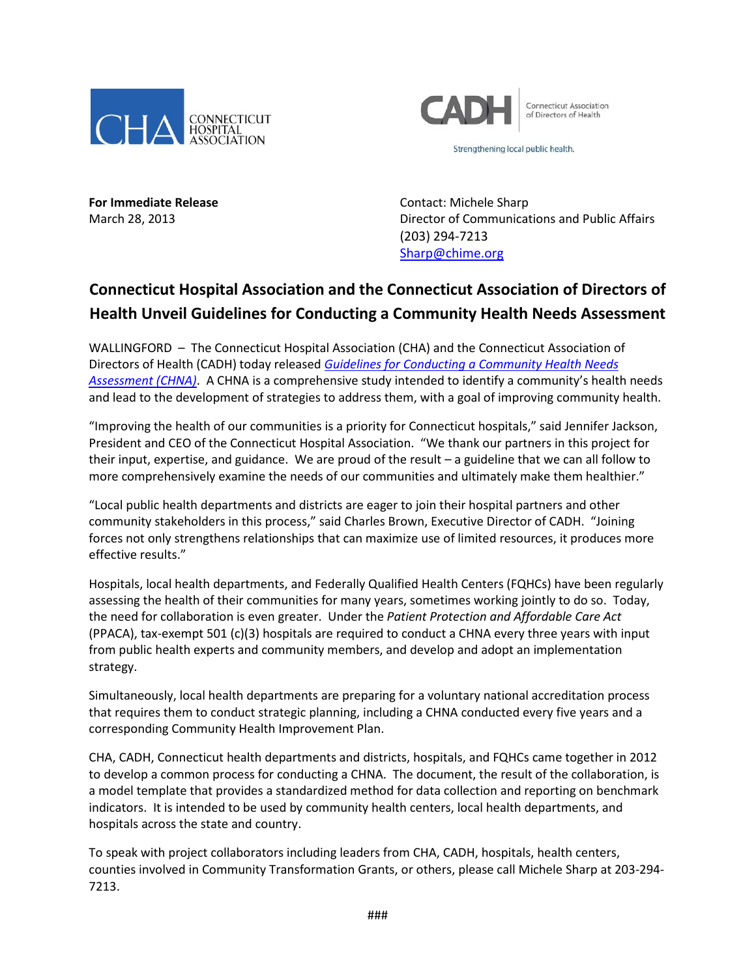



Strengthening local public health.

**For Immediate Release Contact: Michele Sharp** 

March 28, 2013 Director of Communications and Public Affairs (203) 294-7213 [Sharp@chime.org](mailto:Sharp@chime.org)

## **Connecticut Hospital Association and the Connecticut Association of Directors of Health Unveil Guidelines for Conducting a Community Health Needs Assessment**

WALLINGFORD – The Connecticut Hospital Association (CHA) and the Connecticut Association of Directors of Health (CADH) today released *[Guidelines for Conducting a Community Health Needs](http://documents.cthosp.org/documents/community-health/cha-chna-master-document_final.pdf)  [Assessment \(CHNA\)](http://documents.cthosp.org/documents/community-health/cha-chna-master-document_final.pdf)*. A CHNA is a comprehensive study intended to identify a community's health needs and lead to the development of strategies to address them, with a goal of improving community health.

"Improving the health of our communities is a priority for Connecticut hospitals," said Jennifer Jackson, President and CEO of the Connecticut Hospital Association. "We thank our partners in this project for their input, expertise, and guidance. We are proud of the result – a guideline that we can all follow to more comprehensively examine the needs of our communities and ultimately make them healthier."

"Local public health departments and districts are eager to join their hospital partners and other community stakeholders in this process," said Charles Brown, Executive Director of CADH. "Joining forces not only strengthens relationships that can maximize use of limited resources, it produces more effective results."

Hospitals, local health departments, and Federally Qualified Health Centers (FQHCs) have been regularly assessing the health of their communities for many years, sometimes working jointly to do so. Today, the need for collaboration is even greater. Under the *Patient Protection and Affordable Care Act* (PPACA), tax-exempt 501 (c)(3) hospitals are required to conduct a CHNA every three years with input from public health experts and community members, and develop and adopt an implementation strategy.

Simultaneously, local health departments are preparing for a voluntary national accreditation process that requires them to conduct strategic planning, including a CHNA conducted every five years and a corresponding Community Health Improvement Plan.

CHA, CADH, Connecticut health departments and districts, hospitals, and FQHCs came together in 2012 to develop a common process for conducting a CHNA. The document, the result of the collaboration, is a model template that provides a standardized method for data collection and reporting on benchmark indicators. It is intended to be used by community health centers, local health departments, and hospitals across the state and country.

To speak with project collaborators including leaders from CHA, CADH, hospitals, health centers, counties involved in Community Transformation Grants, or others, please call Michele Sharp at 203-294- 7213.